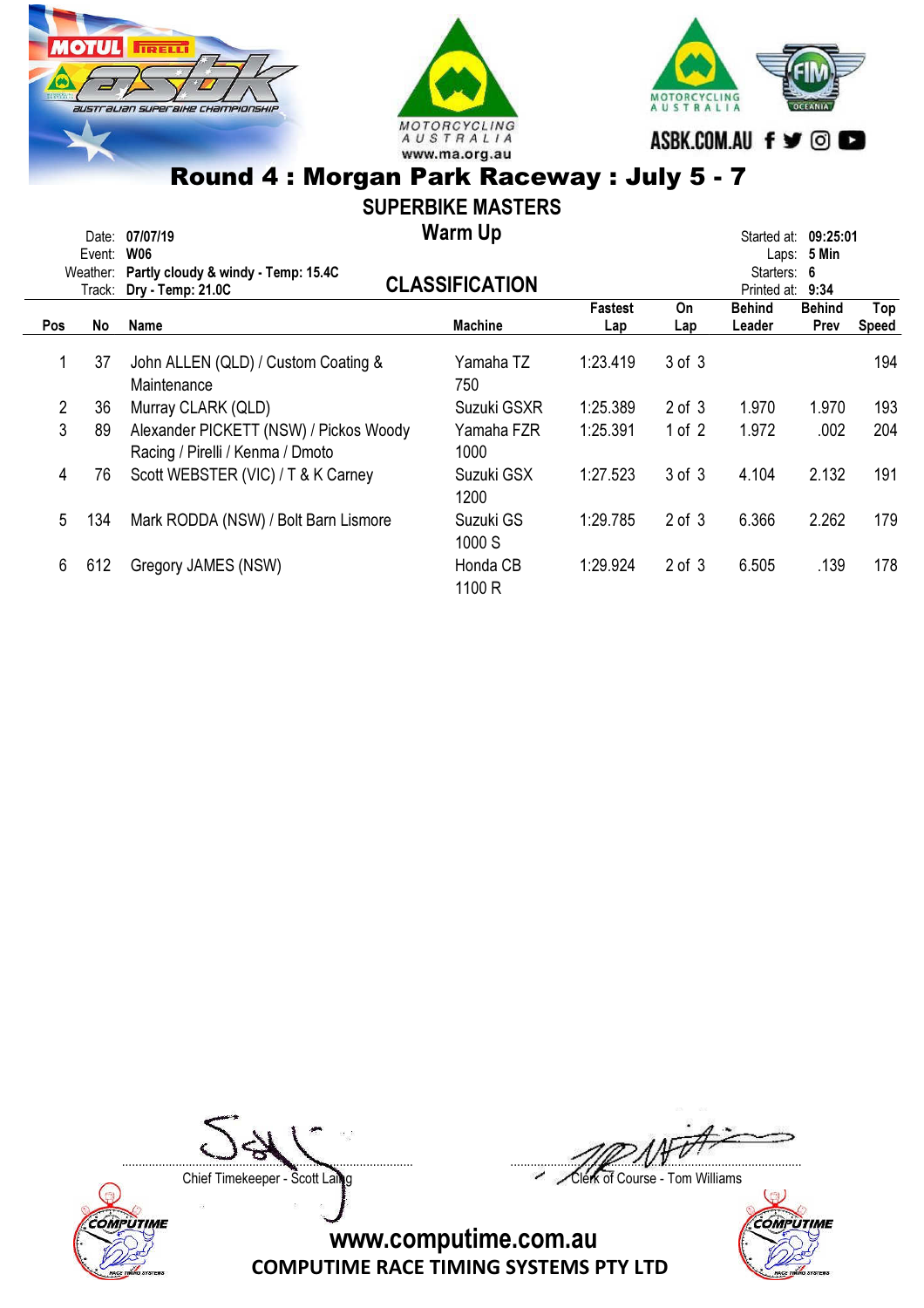





## SUPERBIKE MASTERS

Warm Up Date: 07/07/19 Started at: 09:25:01

|                | Event: | <b>W06</b>                                                                 |                       |                |             |                  | Laps: 5 Min   |       |  |  |
|----------------|--------|----------------------------------------------------------------------------|-----------------------|----------------|-------------|------------------|---------------|-------|--|--|
|                |        | Weather: Partly cloudy & windy - Temp: 15.4C                               |                       |                | Starters: 6 |                  |               |       |  |  |
|                |        | Track: Dry - Temp: 21.0C                                                   | <b>CLASSIFICATION</b> |                |             | Printed at: 9:34 |               |       |  |  |
|                |        |                                                                            |                       | <b>Fastest</b> | On          | <b>Behind</b>    | <b>Behind</b> | Top   |  |  |
| <b>Pos</b>     | No     | <b>Name</b>                                                                | <b>Machine</b>        | Lap            | Lap         | Leader           | Prev          | Speed |  |  |
|                | 37     | John ALLEN (QLD) / Custom Coating &<br>Maintenance                         | Yamaha TZ<br>750      | 1:23.419       | 3 of 3      |                  |               | 194   |  |  |
| $\overline{2}$ | 36     | Murray CLARK (QLD)                                                         | Suzuki GSXR           | 1:25.389       | $2$ of $3$  | 1.970            | 1.970         | 193   |  |  |
| 3              | 89     | Alexander PICKETT (NSW) / Pickos Woody<br>Racing / Pirelli / Kenma / Dmoto | Yamaha FZR<br>1000    | 1:25.391       | 1 of $2$    | 1.972            | .002          | 204   |  |  |
| 4              | 76     | Scott WEBSTER (VIC) / T & K Carney                                         | Suzuki GSX<br>1200    | 1:27.523       | 3 of 3      | 4.104            | 2.132         | 191   |  |  |
| 5              | 134    | Mark RODDA (NSW) / Bolt Barn Lismore                                       | Suzuki GS<br>1000 S   | 1:29.785       | $2$ of $3$  | 6.366            | 2.262         | 179   |  |  |
| 6.             | 612    | Gregory JAMES (NSW)                                                        | Honda CB<br>1100 R    | 1:29.924       | $2$ of $3$  | 6.505            | .139          | 178   |  |  |



....................................................................................... .......................................................................................

Chief Timekeeper - Scott Laing Chief Timekeeper - Scott Laing

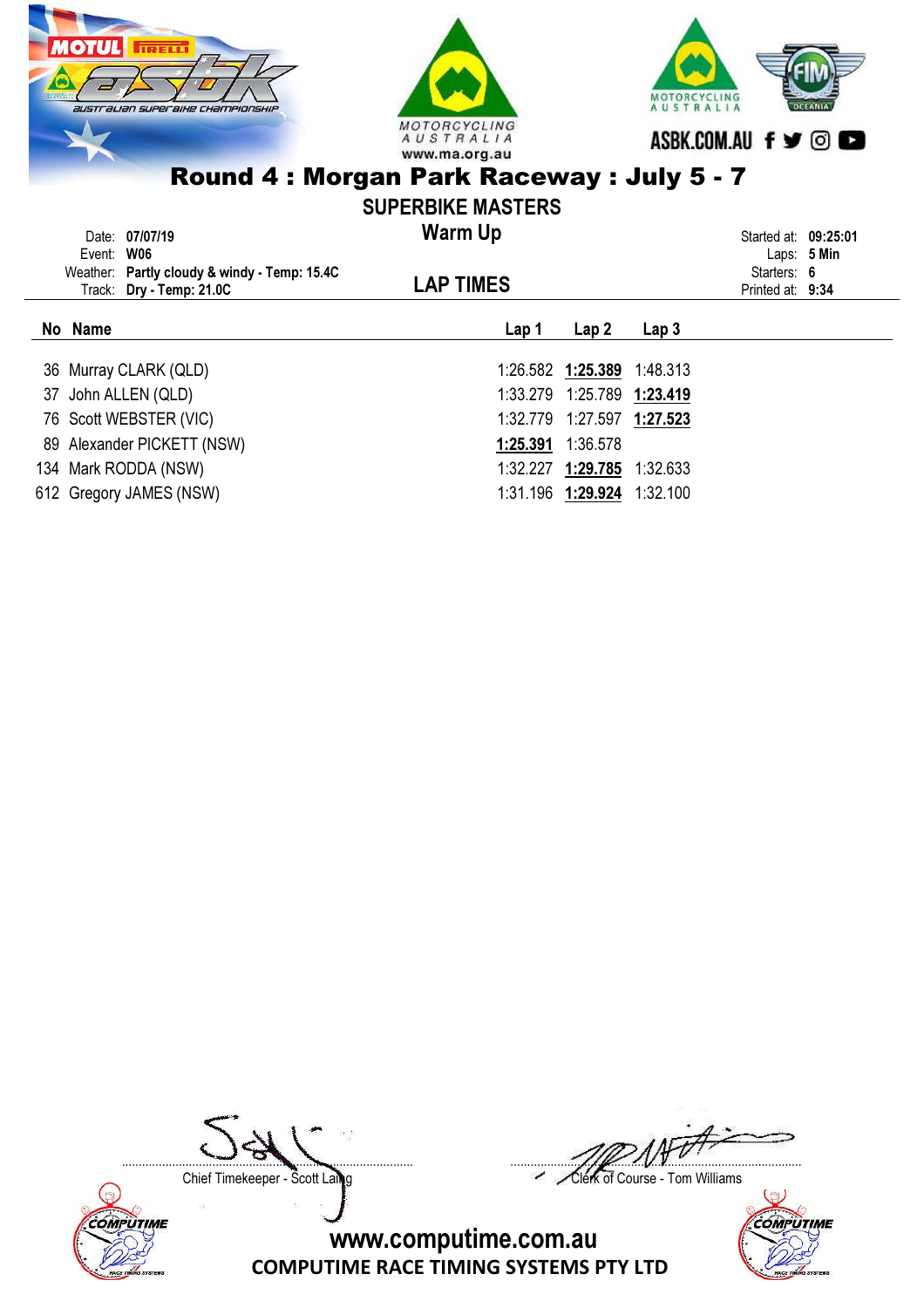

| Event: W06 | Date: 07/07/19<br>Weather: Partly cloudy & windy - Temp: 15.4C<br>Track: Dry - Temp: 21.0C | <b>Warm Up</b><br><b>LAP TIMES</b> | Started at: 09:25:01<br>Laps: $5$ Min<br>Starters: 6<br>Printed at: 9:34 |                  |  |  |
|------------|--------------------------------------------------------------------------------------------|------------------------------------|--------------------------------------------------------------------------|------------------|--|--|
| No Name    |                                                                                            | Lap 1                              | Lap <sub>2</sub>                                                         | Lap <sub>3</sub> |  |  |
|            | 36 Murray CLARK (QLD)                                                                      |                                    | 1:26.582 1:25.389 1:48.313                                               |                  |  |  |
|            | 37 John ALLEN (QLD)                                                                        |                                    | 1:33.279 1:25.789 1:23.419                                               |                  |  |  |
|            | 76 Scott WEBSTER (VIC)                                                                     |                                    | 1:32.779 1:27.597 1:27.523                                               |                  |  |  |
|            | 89 Alexander PICKETT (NSW)                                                                 |                                    | 1:25.391 1:36.578                                                        |                  |  |  |
|            | 134 Mark RODDA (NSW)                                                                       |                                    | 1:32.227 1:29.785 1:32.633                                               |                  |  |  |
|            |                                                                                            |                                    |                                                                          |                  |  |  |

612 Gregory JAMES (NSW) 2012 1:31.196 1:29.924 1:32.100



....................................................................................... .......................................................................................

Chief Timekeeper - Scott Laing Chief Timekeeper - Scott Laing

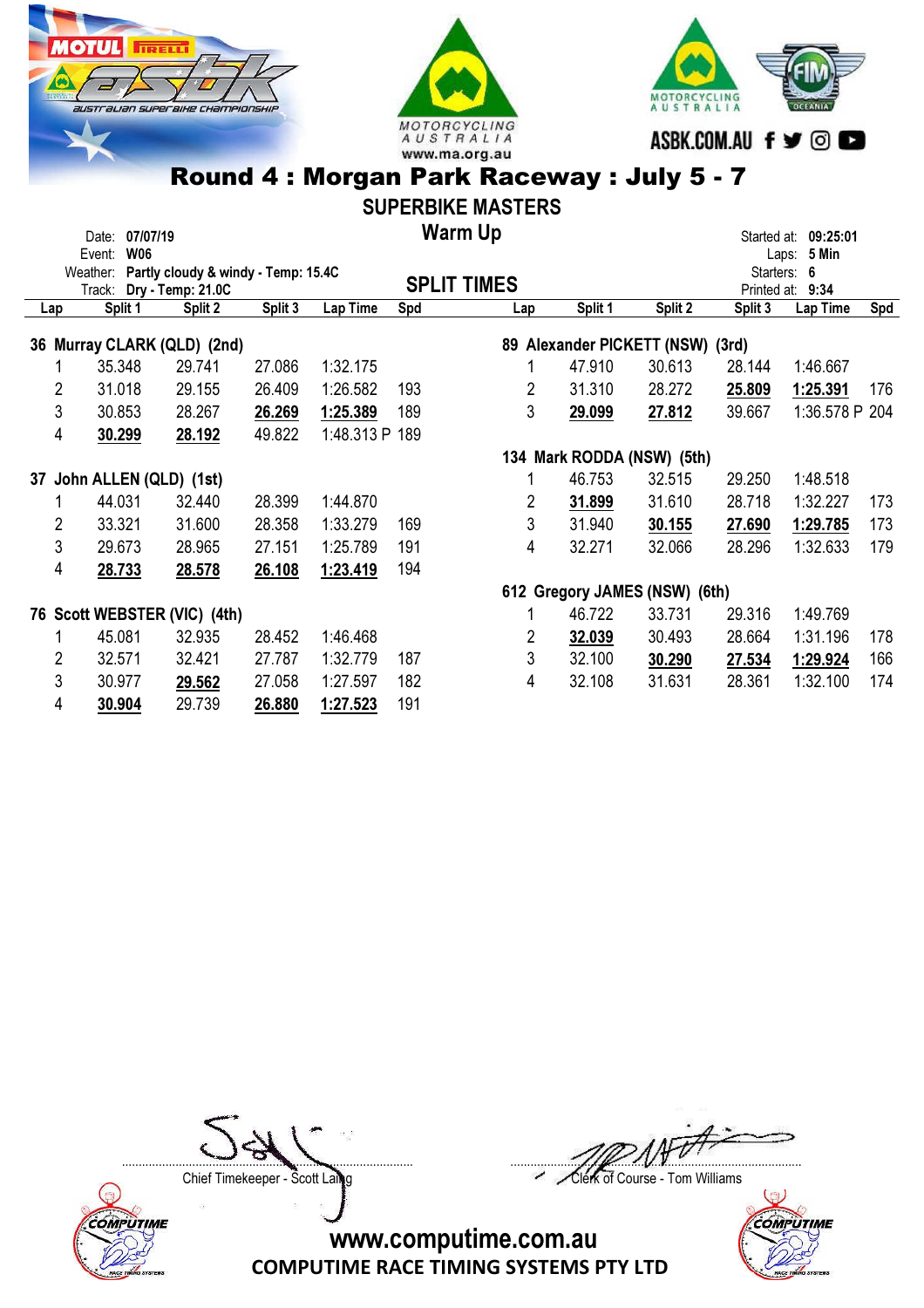





### SUPERBIKE MASTERS

Warm Up

|                             | 07/07/19<br>Date:                            |         |         |                |     | <b>Warm Up</b>     |                            |                                  |             | Started at: 09:25:01 |     |
|-----------------------------|----------------------------------------------|---------|---------|----------------|-----|--------------------|----------------------------|----------------------------------|-------------|----------------------|-----|
|                             | <b>W06</b><br>Event:                         |         |         |                |     |                    |                            |                                  |             | Laps: 5 Min          |     |
|                             | Weather: Partly cloudy & windy - Temp: 15.4C |         |         |                |     | <b>SPLIT TIMES</b> |                            |                                  |             | Starters: 6          |     |
|                             | Track: Dry - Temp: 21.0C                     |         |         |                |     |                    |                            |                                  | Printed at: | 9:34                 |     |
| Lap                         | Split 1                                      | Split 2 | Split 3 | Lap Time       | Spd | Lap                | Split 1                    | Split 2                          | Split 3     | Lap Time             | Spd |
| 36 Murray CLARK (QLD) (2nd) |                                              |         |         |                |     |                    |                            | 89 Alexander PICKETT (NSW) (3rd) |             |                      |     |
|                             | 35.348                                       | 29.741  | 27.086  | 1:32.175       |     | 1                  | 47.910                     | 30.613                           | 28.144      | 1:46.667             |     |
| 2                           | 31.018                                       | 29.155  | 26.409  | 1:26.582       | 193 | 2                  | 31.310                     | 28.272                           | 25.809      | 1:25.391             | 176 |
| 3                           | 30.853                                       | 28.267  | 26.269  | 1:25.389       | 189 | 3                  | 29.099                     | 27.812                           | 39.667      | 1:36.578 P 204       |     |
| 4                           | 30.299                                       | 28.192  | 49.822  | 1:48.313 P 189 |     |                    |                            |                                  |             |                      |     |
|                             |                                              |         |         |                |     |                    | 134 Mark RODDA (NSW) (5th) |                                  |             |                      |     |
| 37                          | John ALLEN (QLD) (1st)                       |         |         |                |     | 1                  | 46.753                     | 32.515                           | 29.250      | 1:48.518             |     |
|                             | 44.031                                       | 32.440  | 28.399  | 1:44.870       |     | 2                  | 31.899                     | 31.610                           | 28.718      | 1:32.227             | 173 |
| 2                           | 33.321                                       | 31.600  | 28.358  | 1:33.279       | 169 | 3                  | 31.940                     | 30.155                           | 27.690      | 1:29.785             | 173 |
| 3                           | 29.673                                       | 28.965  | 27.151  | 1:25.789       | 191 | 4                  | 32.271                     | 32.066                           | 28.296      | 1:32.633             | 179 |
| 4                           | 28.733                                       | 28.578  | 26.108  | 1:23.419       | 194 |                    |                            |                                  |             |                      |     |
|                             |                                              |         |         |                |     |                    |                            | 612 Gregory JAMES (NSW) (6th)    |             |                      |     |
|                             | 76 Scott WEBSTER (VIC) (4th)                 |         |         |                |     |                    | 46.722                     | 33.731                           | 29.316      | 1:49.769             |     |
|                             | 45.081                                       | 32.935  | 28.452  | 1:46.468       |     | 2                  | 32.039                     | 30.493                           | 28.664      | 1:31.196             | 178 |
| 2                           | 32.571                                       | 32.421  | 27.787  | 1:32.779       | 187 | 3                  | 32.100                     | 30.290                           | 27.534      | 1:29.924             | 166 |
| 3                           | 30.977                                       | 29.562  | 27.058  | 1:27.597       | 182 | 4                  | 32.108                     | 31.631                           | 28.361      | 1:32.100             | 174 |
| 4                           | 30.904                                       | 29.739  | 26.880  | 1:27.523       | 191 |                    |                            |                                  |             |                      |     |



....................................................................................... .......................................................................................

Chief Timekeeper - Scott Laing Chief Timekeeper - Scott Laing



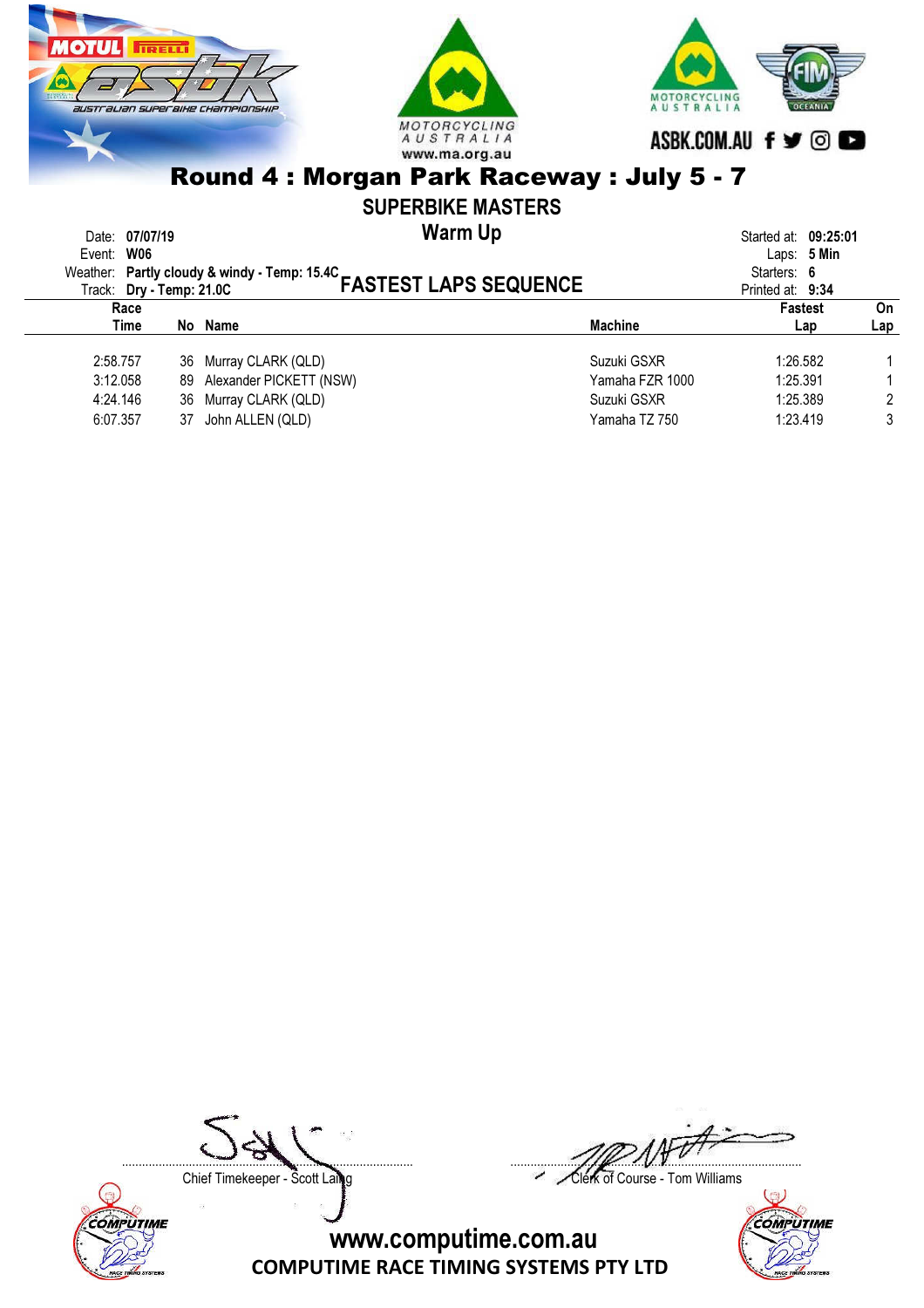



### SUPERBIKE MASTERS

Warm Up Date: 07/07/19 Started at: 09:25:01

| Event: W06<br>Event. vive<br>Weather: Partly cloudy & windy - Temp: 15.4C<br>FASTEST LAPS SEQUENCE |                            | Laps: $5$ Min<br>Starters: 6<br>Printed at: 9:34 |                |           |
|----------------------------------------------------------------------------------------------------|----------------------------|--------------------------------------------------|----------------|-----------|
| Race<br>Time                                                                                       | No Name                    | <b>Machine</b>                                   | Fastest<br>Lap | On<br>Lap |
| 2:58.757                                                                                           | 36 Murray CLARK (QLD)      | Suzuki GSXR                                      | 1:26.582       |           |
| 3:12.058                                                                                           | 89 Alexander PICKETT (NSW) | Yamaha FZR 1000                                  | 1:25.391       |           |
| 4:24.146                                                                                           | 36 Murray CLARK (QLD)      | Suzuki GSXR                                      | 1:25.389       |           |
| 6:07.357                                                                                           | 37 John ALLEN (QLD)        | Yamaha TZ 750                                    | 1:23.419       | 3         |
|                                                                                                    |                            |                                                  |                |           |



....................................................................................... .......................................................................................

Chief Timekeeper - Scott Laing Chief Timekeeper - Scott Laing

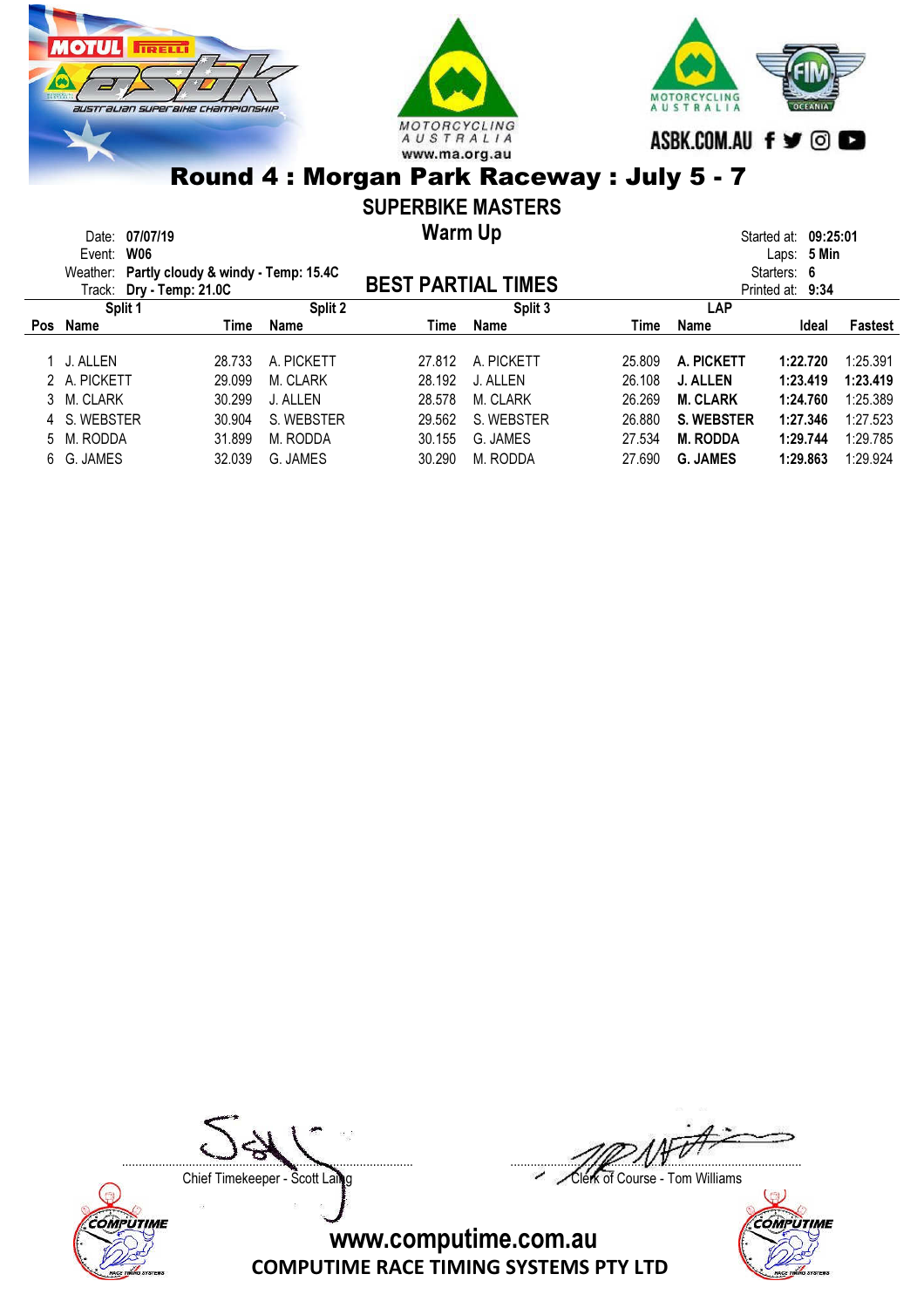





## SUPERBIKE MASTERS

Warm Up

|         | Date: 07/07/19                               |        |            | Warm Up                   |            |            |                   | Started at: 09:25:01 |                |
|---------|----------------------------------------------|--------|------------|---------------------------|------------|------------|-------------------|----------------------|----------------|
|         | Event: W06                                   |        |            |                           |            |            |                   | Laps: 5 Min          |                |
|         | Weather: Partly cloudy & windy - Temp: 15.4C |        |            |                           |            |            |                   | Starters: 6          |                |
|         | Track: Dry - Temp: 21.0C                     |        |            | <b>BEST PARTIAL TIMES</b> |            |            |                   | Printed at: 9:34     |                |
| Split 1 |                                              |        | Split 2    |                           | Split 3    | <b>LAP</b> |                   |                      |                |
| Pos     | Name                                         | Time   | Name       | Time                      | Name       | Time       | Name              | Ideal                | <b>Fastest</b> |
|         |                                              |        |            |                           |            |            |                   |                      |                |
|         | 1 J. ALLEN                                   | 28.733 | A. PICKETT | 27.812                    | A. PICKETT | 25.809     | A. PICKETT        | 1:22.720             | 1:25.391       |
|         | 2 A. PICKETT                                 | 29.099 | M. CLARK   | 28.192                    | J. ALLEN   | 26.108     | J. ALLEN          | 1:23.419             | 1:23.419       |
|         | 3 M. CLARK                                   | 30.299 | J. ALLEN   | 28.578                    | M. CLARK   | 26.269     | <b>M. CLARK</b>   | 1:24.760             | 1:25.389       |
|         | 4 S. WEBSTER                                 | 30.904 | S. WEBSTER | 29.562                    | S. WEBSTER | 26.880     | <b>S. WEBSTER</b> | 1:27.346             | 1:27.523       |
|         | 5 M. RODDA                                   | 31.899 | M. RODDA   | 30.155                    | G. JAMES   | 27.534     | <b>M. RODDA</b>   | 1:29.744             | 1:29.785       |
|         | 6 G. JAMES                                   | 32.039 | G. JAMES   | 30.290                    | M. RODDA   | 27.690     | <b>G. JAMES</b>   | 1:29.863             | 1:29.924       |
|         |                                              |        |            |                           |            |            |                   |                      |                |



....................................................................................... .......................................................................................

Chief Timekeeper - Scott Laing Chief Timekeeper - Scott Laing